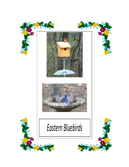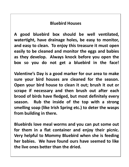## **Bluebird Houses**

**A good bluebird box should be well ventilated, watertight, have drainage holes, be easy to monitor, and easy to clean. To enjoy this treasure it must open easily to be cleaned and monitor the eggs and babies as they develop. Always knock before you open the box so you do not get a bluebird in the face!**

**Valentine's Day is a good marker for our area to make sure your bird houses are cleaned for the season. Open your bird house to clean it out; brush it out or scrape if necessary and then brush out after each brood of birds have fledged, but most definitely every season. Rub the inside of the top with a strong smelling soap (like Irish Spring etc.) to deter the wasps from building in there.** 

**Bluebirds love meal worms and you can put some out for them in a flat container and enjoy their picnic. Very helpful to Mommy Bluebird when she is feeding her babies. We have found ours have seemed to like the live ones better than the dried.**